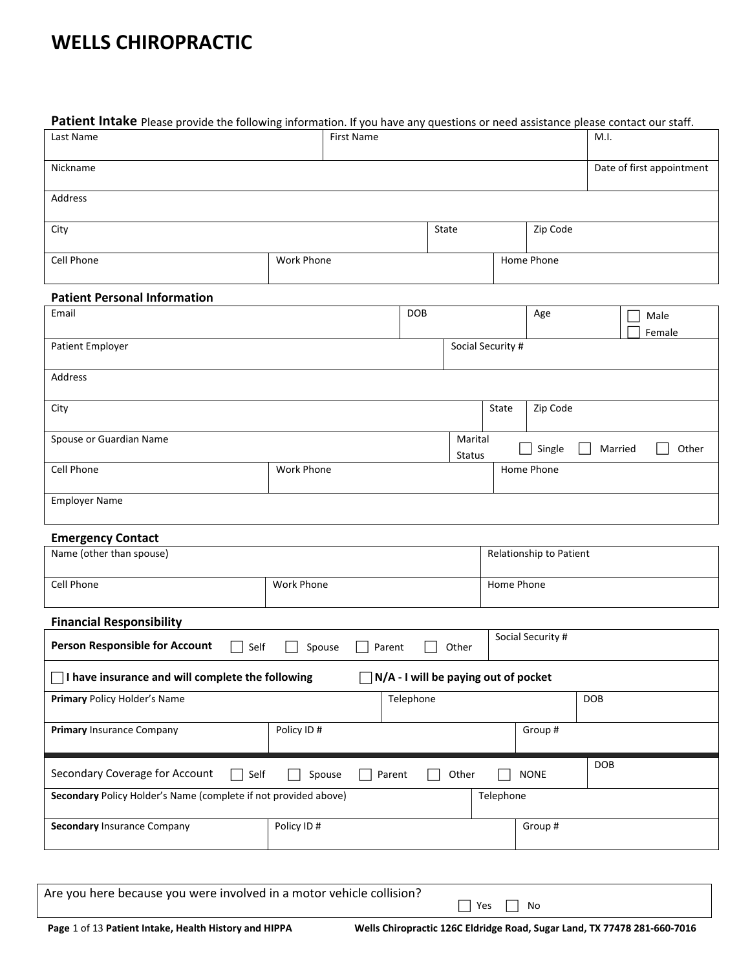# **WELLS CHIROPRACTIC**

| Patient Intake Please provide the following information. If you have any questions or need assistance please contact our staff. |                  |                                             |               |                   |                         |                         |                           |
|---------------------------------------------------------------------------------------------------------------------------------|------------------|---------------------------------------------|---------------|-------------------|-------------------------|-------------------------|---------------------------|
| Last Name                                                                                                                       | First Name       |                                             |               |                   |                         | M.I.                    |                           |
| Nickname                                                                                                                        |                  |                                             |               |                   |                         |                         | Date of first appointment |
| Address                                                                                                                         |                  |                                             |               |                   |                         |                         |                           |
| City                                                                                                                            |                  |                                             | State         |                   | Zip Code                |                         |                           |
| Cell Phone                                                                                                                      | Work Phone       |                                             |               |                   | Home Phone              |                         |                           |
| <b>Patient Personal Information</b>                                                                                             |                  |                                             |               |                   |                         |                         |                           |
| Email                                                                                                                           |                  | <b>DOB</b>                                  |               |                   | Age                     |                         | Male<br>Female            |
| Patient Employer                                                                                                                |                  |                                             |               | Social Security # |                         |                         |                           |
| Address                                                                                                                         |                  |                                             |               |                   |                         |                         |                           |
| City                                                                                                                            |                  |                                             |               | State             | Zip Code                |                         |                           |
| Spouse or Guardian Name                                                                                                         |                  |                                             | Marital       | ×                 | Single                  | $\mathbf{I}$<br>Married | Other                     |
| Cell Phone                                                                                                                      | Work Phone       |                                             | <b>Status</b> |                   | Home Phone              |                         |                           |
| <b>Employer Name</b>                                                                                                            |                  |                                             |               |                   |                         |                         |                           |
| <b>Emergency Contact</b>                                                                                                        |                  |                                             |               |                   |                         |                         |                           |
| Name (other than spouse)                                                                                                        |                  |                                             |               |                   | Relationship to Patient |                         |                           |
| Cell Phone                                                                                                                      | Work Phone       |                                             |               | Home Phone        |                         |                         |                           |
| <b>Financial Responsibility</b>                                                                                                 |                  |                                             |               |                   |                         |                         |                           |
| <b>Person Responsible for Account</b><br>П<br>Self                                                                              | Spouse<br>Parent |                                             | Other         |                   | Social Security #       |                         |                           |
| $\Box$ I have insurance and will complete the following                                                                         |                  | $\Box$ N/A - I will be paying out of pocket |               |                   |                         |                         |                           |
| Primary Policy Holder's Name                                                                                                    |                  | Telephone                                   |               |                   |                         | <b>DOB</b>              |                           |
| Primary Insurance Company                                                                                                       | Policy ID#       |                                             |               |                   | Group #                 |                         |                           |
| Secondary Coverage for Account<br>Self<br>$\overline{\phantom{0}}$                                                              | Spouse<br>Parent |                                             | Other         |                   | <b>NONE</b>             | <b>DOB</b>              |                           |
| Secondary Policy Holder's Name (complete if not provided above)                                                                 |                  |                                             |               | Telephone         |                         |                         |                           |
| Secondary Insurance Company                                                                                                     | Policy ID#       |                                             |               |                   | Group #                 |                         |                           |
|                                                                                                                                 |                  |                                             |               |                   |                         |                         |                           |
| Are you here because you were involved in a motor vehicle collision?                                                            |                  |                                             |               |                   |                         |                         |                           |
|                                                                                                                                 |                  |                                             | Yes           |                   | No                      |                         |                           |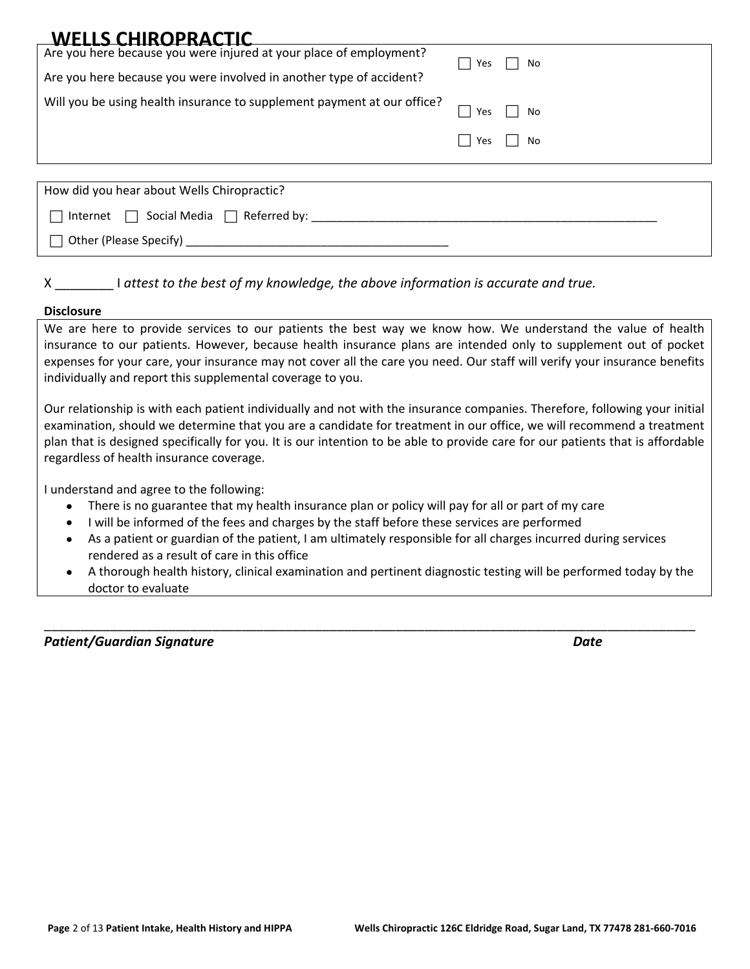| <b>WELLS CHIROPRACTIC</b>                                               |               |
|-------------------------------------------------------------------------|---------------|
| Are you here because you were injured at your place of employment?      | Yes     No    |
| Are you here because you were involved in another type of accident?     |               |
| Will you be using health insurance to supplement payment at our office? | Yes $\Box$ No |
|                                                                         | Yes<br>    No |
|                                                                         |               |
| How did you hear about Wells Chiropractic?                              |               |

 $\Box$  Internet  $\Box$  Social Media  $\Box$  Referred by:

 $\Box$  Other (Please Specify)

X \_\_\_\_\_\_\_\_ I *attest to the best of my knowledge, the above information is accurate and true.*

### **Disclosure**

We are here to provide services to our patients the best way we know how. We understand the value of health insurance to our patients. However, because health insurance plans are intended only to supplement out of pocket expenses for your care, your insurance may not cover all the care you need. Our staff will verify your insurance benefits individually and report this supplemental coverage to you.

Our relationship is with each patient individually and not with the insurance companies. Therefore, following your initial examination, should we determine that you are a candidate for treatment in our office, we will recommend a treatment plan that is designed specifically for you. It is our intention to be able to provide care for our patients that is affordable regardless of health insurance coverage.

I understand and agree to the following:

- There is no guarantee that my health insurance plan or policy will pay for all or part of my care
- I will be informed of the fees and charges by the staff before these services are performed
- As a patient or guardian of the patient, I am ultimately responsible for all charges incurred during services rendered as a result of care in this office
- A thorough health history, clinical examination and pertinent diagnostic testing will be performed today by the doctor to evaluate

\_\_\_\_\_\_\_\_\_\_\_\_\_\_\_\_\_\_\_\_\_\_\_\_\_\_\_\_\_\_\_\_\_\_\_\_\_\_\_\_\_\_\_\_\_\_\_\_\_\_\_\_\_\_\_\_\_\_\_\_\_\_\_\_\_\_\_\_\_\_\_\_\_\_\_\_\_\_\_\_\_\_\_\_\_\_\_\_\_

*Patient/Guardian Signature Date*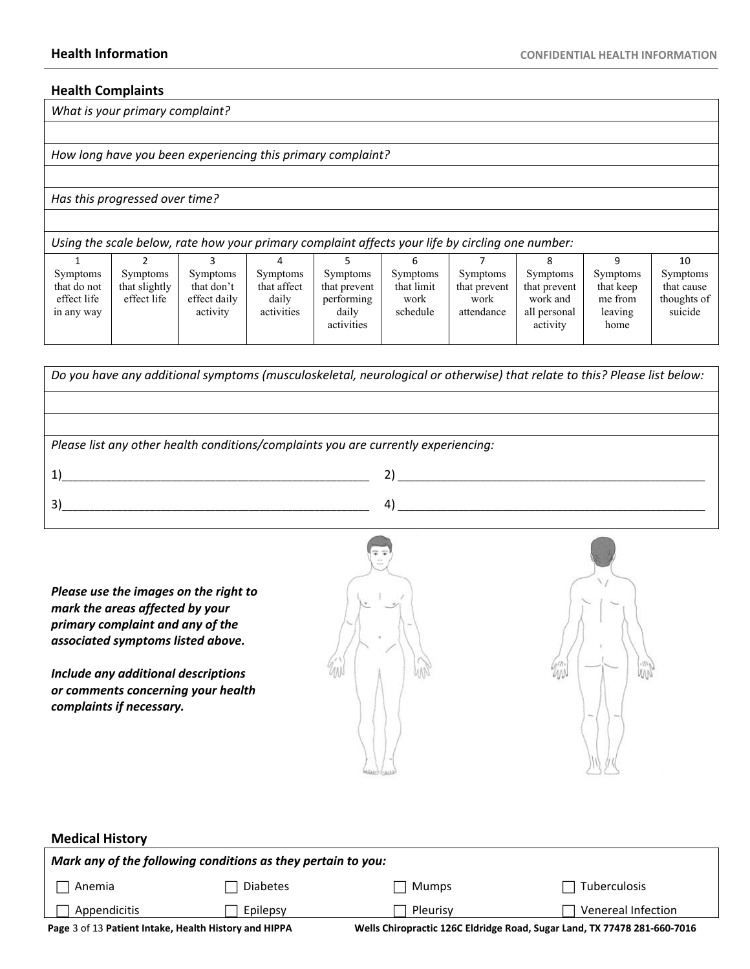### **Health Complaints**

*What is your primary complaint?*

*How long have you been experiencing this primary complaint?*

### *Has this progressed over time?*

| Using the scale below, rate how your primary complaint affects your life by circling one number: |                                                 |                                                           |                                                       |                                                                      |                                            |                                                       |                                                                  |                                                            |                                                         |
|--------------------------------------------------------------------------------------------------|-------------------------------------------------|-----------------------------------------------------------|-------------------------------------------------------|----------------------------------------------------------------------|--------------------------------------------|-------------------------------------------------------|------------------------------------------------------------------|------------------------------------------------------------|---------------------------------------------------------|
|                                                                                                  |                                                 |                                                           |                                                       |                                                                      |                                            |                                                       |                                                                  |                                                            | 10                                                      |
| <b>Symptoms</b><br>that do not<br>effect life<br>in any way                                      | <b>Symptoms</b><br>that slightly<br>effect life | <b>Symptoms</b><br>that don't<br>effect daily<br>activity | <b>Symptoms</b><br>that affect<br>daily<br>activities | <b>Symptoms</b><br>that prevent<br>performing<br>daily<br>activities | Symptoms<br>that limit<br>work<br>schedule | <b>Symptoms</b><br>that prevent<br>work<br>attendance | Symptoms<br>that prevent<br>work and<br>all personal<br>activity | <b>Symptoms</b><br>that keep<br>me from<br>leaving<br>home | <b>Symptoms</b><br>that cause<br>thoughts of<br>suicide |



*Please use the images on the right to mark the areas affected by your primary complaint and any of the associated symptoms listed above.*

*Include any additional descriptions or comments concerning your health complaints if necessary.*





### **Medical History**  *Mark any of the following conditions as they pertain to you:* Anemia  $\Box$  Appendicitis □ Diabetes □ Mumps □ Tuberculos  $\Box$  Epilepsy  $\Box$  Pleurisy  $\Box$  Tuberculosis  $\Box$  Venereal Infection

**Page** 3 of 13 **Patient Intake, Health History and HIPPA Wells Chiropractic 126C Eldridge Road, Sugar Land, TX 77478 281-660-7016**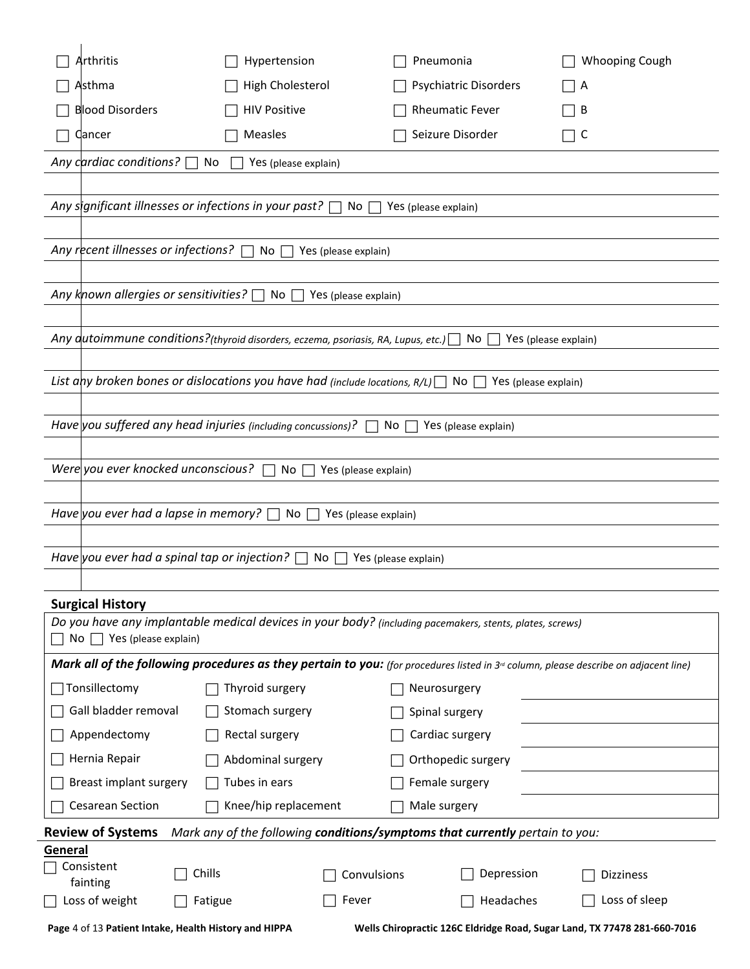| <b>High Cholesterol</b><br>Psychiatric Disorders<br>Asthma<br>$\overline{A}$<br><b>Blood Disorders</b><br><b>HIV Positive</b><br><b>Rheumatic Fever</b><br>B<br>Seizure Disorder |
|----------------------------------------------------------------------------------------------------------------------------------------------------------------------------------|
|                                                                                                                                                                                  |
|                                                                                                                                                                                  |
| Measles<br>ヿC<br>Qancer                                                                                                                                                          |
| Any cardiac conditions? $\Box$<br>No<br>Yes (please explain)                                                                                                                     |
|                                                                                                                                                                                  |
| Any significant illnesses or infections in your past? $\Box$ No $\Box$<br>Yes (please explain)                                                                                   |
|                                                                                                                                                                                  |
| Any recent illnesses or infections? $\Box$<br>No $\Box$<br>Yes (please explain)                                                                                                  |
| Any known allergies or sensitivities? $\Box$<br>No $\Box$<br>Yes (please explain)                                                                                                |
|                                                                                                                                                                                  |
| Any dutoimmune conditions?(thyroid disorders, eczema, psoriasis, RA, Lupus, etc.) $\Box$ No [<br>Yes (please explain)                                                            |
|                                                                                                                                                                                  |
| List any broken bones or dislocations you have had (include locations, R/L) $\Box$ No $\Box$<br>Yes (please explain)                                                             |
| Have you suffered any head injuries (including concussions)? $\Box$ No $\Box$ Yes (please explain)                                                                               |
|                                                                                                                                                                                  |
| Were you ever knocked unconscious?<br>$No \ \Box$<br>Yes (please explain)                                                                                                        |
|                                                                                                                                                                                  |
| Have you ever had a lapse in memory? $\Box$ No $\Box$<br>Yes (please explain)                                                                                                    |
|                                                                                                                                                                                  |
| Have you ever had a spinal tap or injection? $\Box$ No $\Box$<br>Yes (please explain)                                                                                            |
| <b>Surgical History</b>                                                                                                                                                          |
| Do you have any implantable medical devices in your body? (including pacemakers, stents, plates, screws)                                                                         |
| $\mathsf{No} \ \Box$ Yes (please explain)                                                                                                                                        |
| Mark all of the following procedures as they pertain to you: (for procedures listed in 3 <sup>rd</sup> column, please describe on adjacent line)                                 |
| $\Box$ Tonsillectomy<br>Thyroid surgery<br>Neurosurgery                                                                                                                          |
| Gall bladder removal<br>Stomach surgery<br>Spinal surgery                                                                                                                        |
| Appendectomy<br>Rectal surgery<br>Cardiac surgery                                                                                                                                |
| Hernia Repair<br>Abdominal surgery<br>Orthopedic surgery                                                                                                                         |
| Breast implant surgery<br>Tubes in ears<br>Female surgery                                                                                                                        |
| <b>Cesarean Section</b><br>Knee/hip replacement<br>Male surgery                                                                                                                  |
| <b>Review of Systems</b><br>Mark any of the following conditions/symptoms that currently pertain to you:<br>General                                                              |
| Consistent<br>Chills<br>Depression<br>Convulsions<br><b>Dizziness</b>                                                                                                            |
| fainting<br>Loss of weight<br>Loss of sleep<br>Fever<br>Headaches<br>Fatigue                                                                                                     |
| Page 4 of 13 Patient Intake, Health History and HIPPA<br>Wells Chiropractic 126C Eldridge Road, Sugar Land, TX 77478 281-660-7016                                                |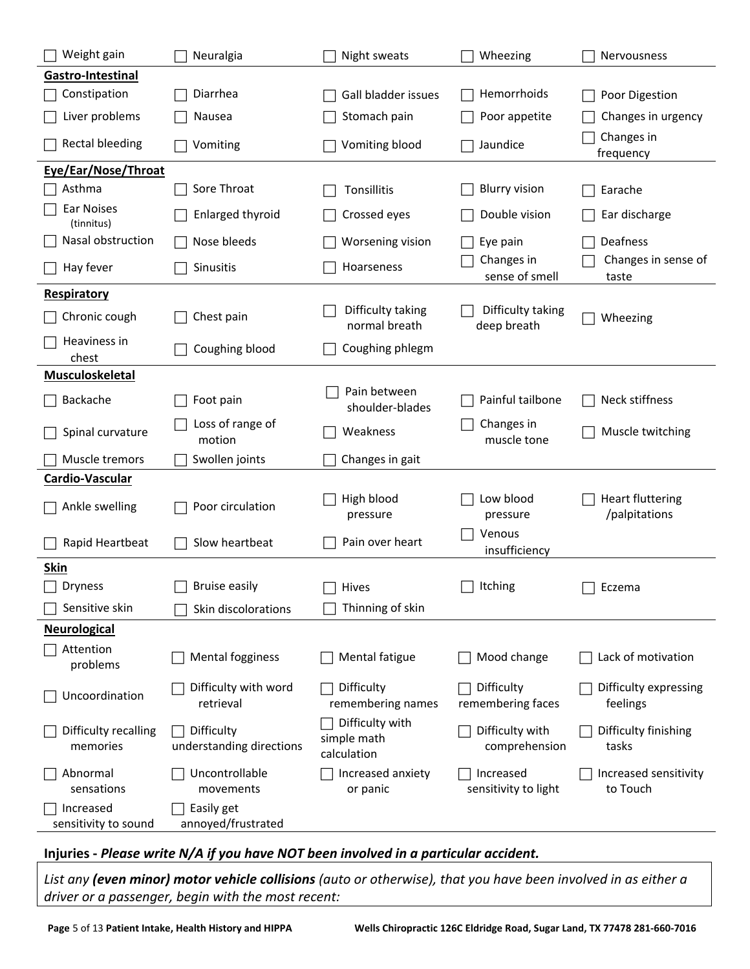| Weight gain                       | Neuralgia                              | Night sweats                                  | Wheezing                          | Nervousness                              |
|-----------------------------------|----------------------------------------|-----------------------------------------------|-----------------------------------|------------------------------------------|
| Gastro-Intestinal                 |                                        |                                               |                                   |                                          |
| Constipation                      | Diarrhea                               | Gall bladder issues                           | Hemorrhoids                       | Poor Digestion                           |
| Liver problems                    | Nausea                                 | Stomach pain                                  | Poor appetite                     | Changes in urgency                       |
| <b>Rectal bleeding</b>            | Vomiting                               | Vomiting blood                                | Jaundice                          | Changes in<br>frequency                  |
| Eye/Ear/Nose/Throat               |                                        |                                               |                                   |                                          |
| Asthma                            | Sore Throat                            | Tonsillitis                                   | <b>Blurry vision</b>              | Earache                                  |
| Ear Noises<br>(tinnitus)          | Enlarged thyroid                       | Crossed eyes                                  | Double vision                     | Ear discharge                            |
| Nasal obstruction                 | Nose bleeds                            | Worsening vision                              | Eye pain                          | Deafness                                 |
| Hay fever                         | Sinusitis                              | Hoarseness                                    | Changes in<br>sense of smell      | Changes in sense of<br>taste             |
| Respiratory                       |                                        |                                               |                                   |                                          |
| Chronic cough                     | Chest pain                             | Difficulty taking<br>normal breath            | Difficulty taking<br>deep breath  | Wheezing                                 |
| Heaviness in<br>chest             | Coughing blood                         | Coughing phlegm                               |                                   |                                          |
| Musculoskeletal                   |                                        |                                               |                                   |                                          |
| Backache                          | Foot pain                              | Pain between<br>shoulder-blades               | Painful tailbone                  | Neck stiffness                           |
| Spinal curvature                  | Loss of range of<br>motion             | Weakness                                      | Changes in<br>muscle tone         | Muscle twitching                         |
| Muscle tremors                    | Swollen joints                         | Changes in gait                               |                                   |                                          |
| Cardio-Vascular                   |                                        |                                               |                                   |                                          |
| Ankle swelling                    | Poor circulation                       | High blood<br>pressure                        | Low blood<br>pressure             | <b>Heart fluttering</b><br>/palpitations |
| Rapid Heartbeat                   | Slow heartbeat                         | Pain over heart                               | Venous<br>insufficiency           |                                          |
| <b>Skin</b>                       |                                        |                                               |                                   |                                          |
| <b>Dryness</b>                    | <b>Bruise easily</b>                   | Hives                                         | Itching                           | Eczema                                   |
| Sensitive skin                    | Skin discolorations                    | Thinning of skin                              |                                   |                                          |
| <b>Neurological</b>               |                                        |                                               |                                   |                                          |
| Attention<br>problems             | <b>Mental fogginess</b>                | Mental fatigue                                | Mood change                       | Lack of motivation                       |
| Uncoordination                    | Difficulty with word<br>retrieval      | Difficulty<br>remembering names               | Difficulty<br>remembering faces   | Difficulty expressing<br>feelings        |
| Difficulty recalling<br>memories  | Difficulty<br>understanding directions | Difficulty with<br>simple math<br>calculation | Difficulty with<br>comprehension  | Difficulty finishing<br>tasks            |
| Abnormal<br>sensations            | Uncontrollable<br>movements            | Increased anxiety<br>or panic                 | Increased<br>sensitivity to light | Increased sensitivity<br>to Touch        |
| Increased<br>sensitivity to sound | Easily get<br>annoyed/frustrated       |                                               |                                   |                                          |

**Injuries -** *Please write N/A if you have NOT been involved in a particular accident.*

*List any (even minor) motor vehicle collisions (auto or otherwise), that you have been involved in as either a driver or a passenger, begin with the most recent:*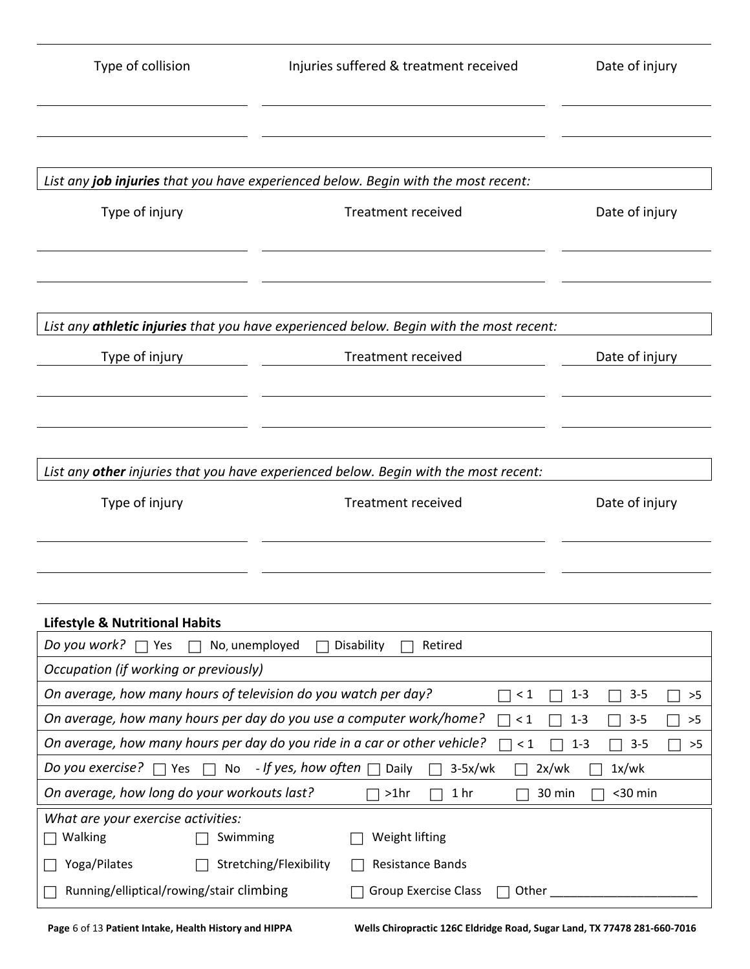| Type of collision                                                  | Injuries suffered & treatment received                                                  | Date of injury                     |  |
|--------------------------------------------------------------------|-----------------------------------------------------------------------------------------|------------------------------------|--|
|                                                                    |                                                                                         |                                    |  |
|                                                                    | List any job injuries that you have experienced below. Begin with the most recent:      |                                    |  |
| Type of injury                                                     | <b>Treatment received</b>                                                               | Date of injury                     |  |
|                                                                    | List any athletic injuries that you have experienced below. Begin with the most recent: |                                    |  |
| Type of injury                                                     | <b>Treatment received</b>                                                               | Date of injury                     |  |
|                                                                    |                                                                                         |                                    |  |
|                                                                    | List any other injuries that you have experienced below. Begin with the most recent:    |                                    |  |
| Type of injury                                                     | <b>Treatment received</b>                                                               | Date of injury                     |  |
|                                                                    |                                                                                         |                                    |  |
| <b>Lifestyle &amp; Nutritional Habits</b>                          |                                                                                         |                                    |  |
| <i>Do you work?</i> $\Box$ Yes<br>No, unemployed<br>$\overline{a}$ | Disability<br>Retired                                                                   |                                    |  |
| Occupation (if working or previously)                              |                                                                                         |                                    |  |
| On average, how many hours of television do you watch per day?     | $\leq 1$                                                                                | $3 - 5$<br>$1 - 3$<br>>5<br>$\Box$ |  |
|                                                                    | On average, how many hours per day do you use a computer work/home?<br>$\leq 1$         | $3 - 5$<br>$1 - 3$<br>>5<br>$\sim$ |  |
|                                                                    | On average, how many hours per day do you ride in a car or other vehicle?<br>$\leq 1$   | $3 - 5$<br>$1 - 3$<br>>5           |  |
| Do you exercise?                                                   | $\Box$ Yes $\Box$ No - If yes, how often $\Box$ Daily<br>$3-5x/wk$                      | 1x/wk<br>2x/wk                     |  |
| On average, how long do your workouts last?                        | $>1$ hr<br>1 <sub>hr</sub>                                                              | $30$ min<br>30 min                 |  |
| What are your exercise activities:<br>Walking<br>Swimming          | Weight lifting                                                                          |                                    |  |
| Yoga/Pilates                                                       | Stretching/Flexibility<br><b>Resistance Bands</b>                                       |                                    |  |
| Running/elliptical/rowing/stair climbing                           | <b>Group Exercise Class</b><br>Other_                                                   |                                    |  |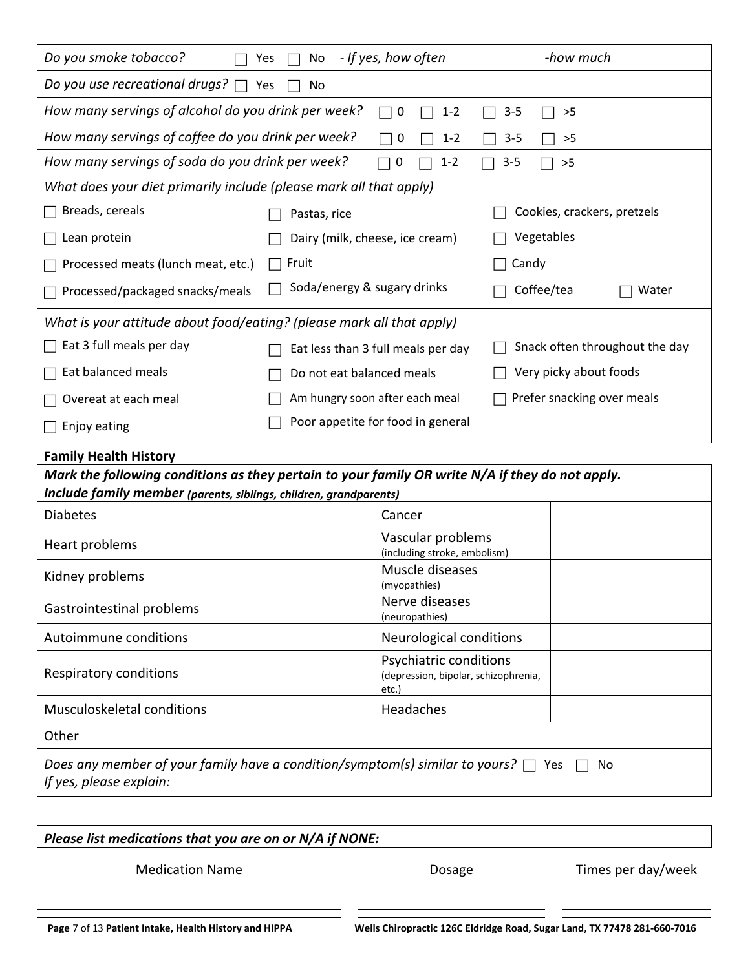| Do you smoke tobacco?                                                 | - If yes, how often<br>Yes<br>No                                                                | -how much                      |
|-----------------------------------------------------------------------|-------------------------------------------------------------------------------------------------|--------------------------------|
| Do you use recreational drugs? $\Box$                                 | Yes<br>No                                                                                       |                                |
| How many servings of alcohol do you drink per week?                   | $\mathbf 0$<br>$1 - 2$<br>$\Box$                                                                | $3 - 5$<br>>5                  |
| How many servings of coffee do you drink per week?                    | $\mathbf 0$<br>$1 - 2$                                                                          | $3 - 5$<br>>5                  |
| How many servings of soda do you drink per week?                      | 0<br>$1 - 2$                                                                                    | $3 - 5$<br>>5                  |
| What does your diet primarily include (please mark all that apply)    |                                                                                                 |                                |
| Breads, cereals                                                       | Pastas, rice                                                                                    | Cookies, crackers, pretzels    |
| Lean protein                                                          | Dairy (milk, cheese, ice cream)                                                                 | Vegetables                     |
| Processed meats (lunch meat, etc.)                                    | Fruit                                                                                           | Candy                          |
| Processed/packaged snacks/meals                                       | Soda/energy & sugary drinks                                                                     | Coffee/tea<br>Water            |
| What is your attitude about food/eating? (please mark all that apply) |                                                                                                 |                                |
| Eat 3 full meals per day                                              | Eat less than 3 full meals per day                                                              | Snack often throughout the day |
| Eat balanced meals                                                    | Do not eat balanced meals                                                                       | Very picky about foods         |
| Overeat at each meal                                                  | Am hungry soon after each meal                                                                  | Prefer snacking over meals     |
| Enjoy eating                                                          | Poor appetite for food in general                                                               |                                |
| <b>Family Health History</b>                                          |                                                                                                 |                                |
| Include family member (parents, siblings, children, grandparents)     | Mark the following conditions as they pertain to your family OR write N/A if they do not apply. |                                |
| <b>Diabetes</b>                                                       | Cancer                                                                                          |                                |
| Heart problems                                                        | Vascular problems<br>(including stroke, embolism)                                               |                                |
| Kidney problems                                                       | Muscle diseases<br>(myopathies)                                                                 |                                |
| Gastrointestinal problems                                             | Nerve diseases<br>(neuropathies)                                                                |                                |
| Autoimmune conditions                                                 | Neurological conditions                                                                         |                                |
| Respiratory conditions                                                | Psychiatric conditions<br>(depression, bipolar, schizophrenia,<br>etc.)                         |                                |
| Musculoskeletal conditions                                            | Headaches                                                                                       |                                |
| Other                                                                 |                                                                                                 |                                |
| If yes, please explain:                                               | Does any member of your family have a condition/symptom(s) similar to yours? $\Box$ Yes         | No                             |

# *Please list medications that you are on or N/A if NONE:*

Medication Name **Name Conserverse Exercise Exercise Conserverse Exercise Analytic Dosage Times per day/week**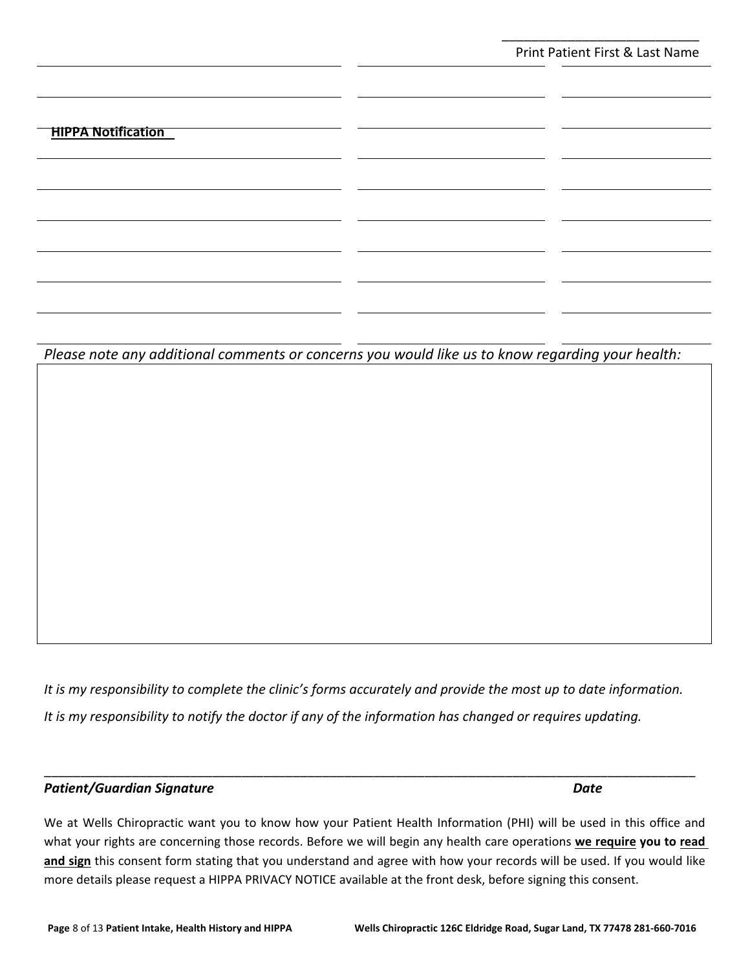\_\_\_\_\_\_\_\_\_\_\_\_\_\_\_\_\_\_\_\_\_\_\_\_\_\_\_

### **HIPPA Notification**

*Please note any additional comments or concerns you would like us to know regarding your health:*

*It is my responsibility to complete the clinic's forms accurately and provide the most up to date information. It is my responsibility to notify the doctor if any of the information has changed or requires updating.*

### Patient/Guardian Signature **Date** *Date* Date **Date**

We at Wells Chiropractic want you to know how your Patient Health Information (PHI) will be used in this office and what your rights are concerning those records. Before we will begin any health care operations **we require you to read**  and sign this consent form stating that you understand and agree with how your records will be used. If you would like more details please request a HIPPA PRIVACY NOTICE available at the front desk, before signing this consent.

\_\_\_\_\_\_\_\_\_\_\_\_\_\_\_\_\_\_\_\_\_\_\_\_\_\_\_\_\_\_\_\_\_\_\_\_\_\_\_\_\_\_\_\_\_\_\_\_\_\_\_\_\_\_\_\_\_\_\_\_\_\_\_\_\_\_\_\_\_\_\_\_\_\_\_\_\_\_\_\_\_\_\_\_\_\_\_\_\_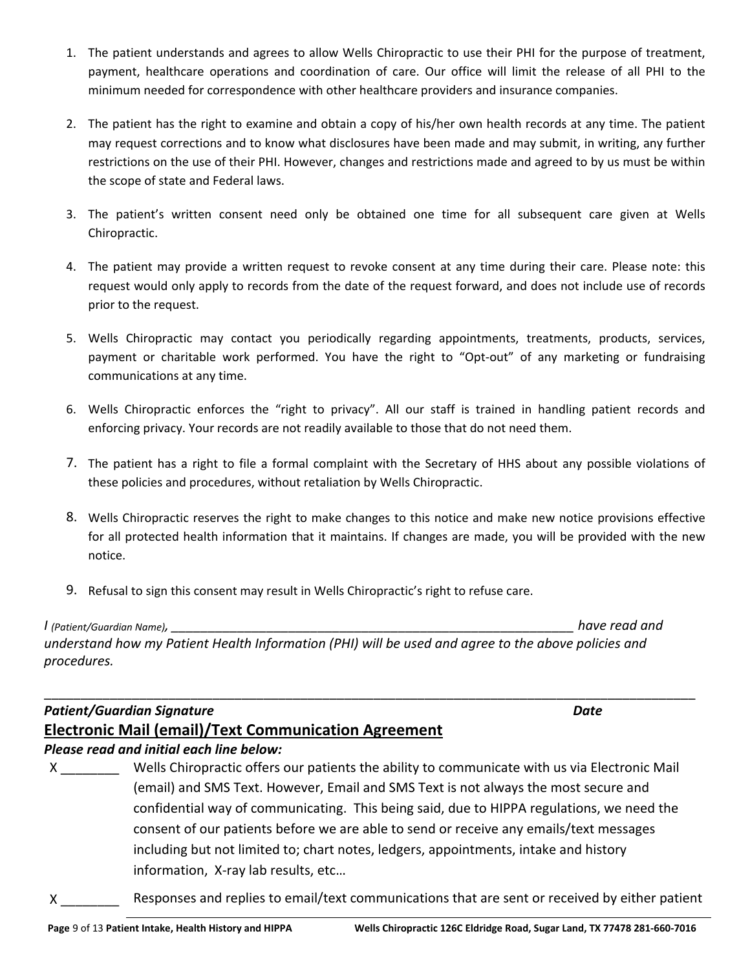- 1. The patient understands and agrees to allow Wells Chiropractic to use their PHI for the purpose of treatment, payment, healthcare operations and coordination of care. Our office will limit the release of all PHI to the minimum needed for correspondence with other healthcare providers and insurance companies.
- 2. The patient has the right to examine and obtain a copy of his/her own health records at any time. The patient may request corrections and to know what disclosures have been made and may submit, in writing, any further restrictions on the use of their PHI. However, changes and restrictions made and agreed to by us must be within the scope of state and Federal laws.
- 3. The patient's written consent need only be obtained one time for all subsequent care given at Wells Chiropractic.
- 4. The patient may provide a written request to revoke consent at any time during their care. Please note: this request would only apply to records from the date of the request forward, and does not include use of records prior to the request.
- 5. Wells Chiropractic may contact you periodically regarding appointments, treatments, products, services, payment or charitable work performed. You have the right to "Opt-out" of any marketing or fundraising communications at any time.
- 6. Wells Chiropractic enforces the "right to privacy". All our staff is trained in handling patient records and enforcing privacy. Your records are not readily available to those that do not need them.
- 7. The patient has a right to file a formal complaint with the Secretary of HHS about any possible violations of these policies and procedures, without retaliation by Wells Chiropractic.
- 8. Wells Chiropractic reserves the right to make changes to this notice and make new notice provisions effective for all protected health information that it maintains. If changes are made, you will be provided with the new notice.

\_\_\_\_\_\_\_\_\_\_\_\_\_\_\_\_\_\_\_\_\_\_\_\_\_\_\_\_\_\_\_\_\_\_\_\_\_\_\_\_\_\_\_\_\_\_\_\_\_\_\_\_\_\_\_\_\_\_\_\_\_\_\_\_\_\_\_\_\_\_\_\_\_\_\_\_\_\_\_\_\_\_\_\_\_\_\_\_\_

9. Refusal to sign this consent may result in Wells Chiropractic's right to refuse care.

*I (Patient/Guardian Name), \_\_\_\_\_\_\_\_\_\_\_\_\_\_\_\_\_\_\_\_\_\_\_\_\_\_\_\_\_\_\_\_\_\_\_\_\_\_\_\_\_\_\_\_\_\_\_\_\_\_\_\_\_\_\_ have read and understand how my Patient Health Information (PHI) will be used and agree to the above policies and procedures.* 

## *Patient/Guardian Signature Date*  **Electronic Mail (email)/Text Communication Agreement**

### *Please read and initial each line below:*

X \_\_\_\_\_\_\_\_ Wells Chiropractic offers our patients the ability to communicate with us via Electronic Mail (email) and SMS Text. However, Email and SMS Text is not always the most secure and confidential way of communicating. This being said, due to HIPPA regulations, we need the consent of our patients before we are able to send or receive any emails/text messages including but not limited to; chart notes, ledgers, appointments, intake and history information, X-ray lab results, etc…

X \_\_\_\_\_\_\_\_ Responses and replies to email/text communications that are sent or received by either patient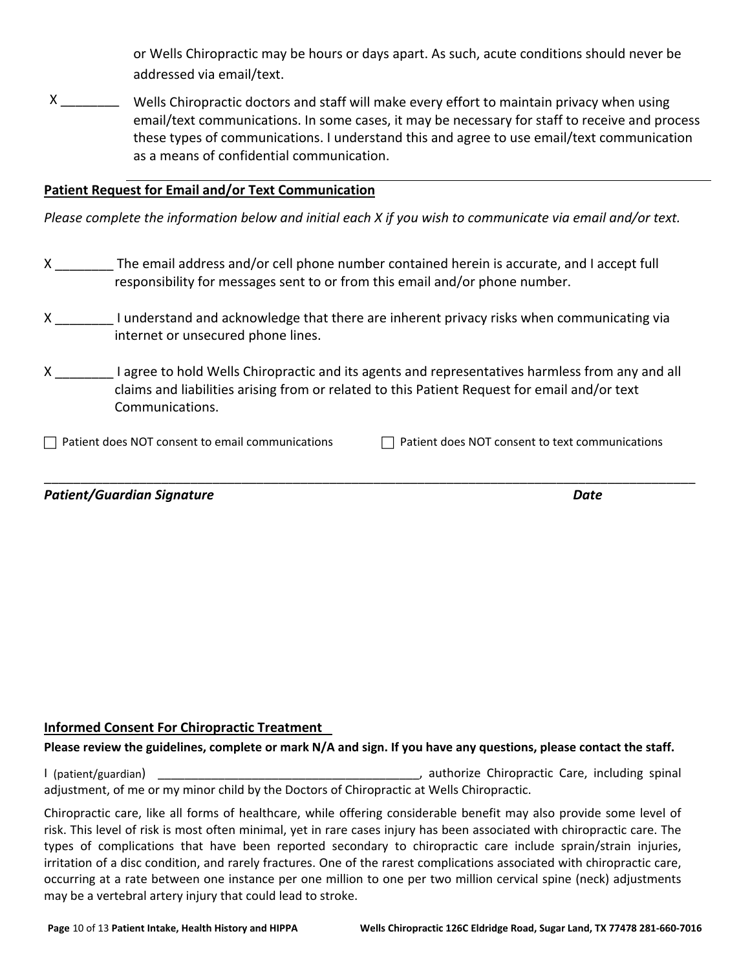or Wells Chiropractic may be hours or days apart. As such, acute conditions should never be addressed via email/text.

X \_\_\_\_\_\_\_\_\_\_\_ Wells Chiropractic doctors and staff will make every effort to maintain privacy when using email/text communications. In some cases, it may be necessary for staff to receive and process these types of communications. I understand this and agree to use email/text communication as a means of confidential communication.

### **Patient Request for Email and/or Text Communication**

*Please complete the information below and initial each X if you wish to communicate via email and/or text.*

- X \_\_\_\_\_\_\_\_ The email address and/or cell phone number contained herein is accurate, and I accept full responsibility for messages sent to or from this email and/or phone number.
- X I understand and acknowledge that there are inherent privacy risks when communicating via internet or unsecured phone lines.
- X 1 agree to hold Wells Chiropractic and its agents and representatives harmless from any and all claims and liabilities arising from or related to this Patient Request for email and/or text Communications.

 $\Box$  Patient does NOT consent to email communications  $\Box$  Patient does NOT consent to text communications

\_\_\_\_\_\_\_\_\_\_\_\_\_\_\_\_\_\_\_\_\_\_\_\_\_\_\_\_\_\_\_\_\_\_\_\_\_\_\_\_\_\_\_\_\_\_\_\_\_\_\_\_\_\_\_\_\_\_\_\_\_\_\_\_\_\_\_\_\_\_\_\_\_\_\_\_\_\_\_\_\_\_\_\_\_\_\_\_\_

*Patient/Guardian Signature Date* 

### **Informed Consent For Chiropractic Treatment**

### **Please review the guidelines, complete or mark N/A and sign. If you have any questions, please contact the staff.**

I (patient/guardian) \_\_\_\_\_\_\_\_\_\_\_\_\_\_\_\_\_\_\_\_\_\_\_\_\_\_\_\_\_\_\_\_\_\_\_\_\_\_\_, authorize Chiropractic Care, including spinal adjustment, of me or my minor child by the Doctors of Chiropractic at Wells Chiropractic.

Chiropractic care, like all forms of healthcare, while offering considerable benefit may also provide some level of risk. This level of risk is most often minimal, yet in rare cases injury has been associated with chiropractic care. The types of complications that have been reported secondary to chiropractic care include sprain/strain injuries, irritation of a disc condition, and rarely fractures. One of the rarest complications associated with chiropractic care, occurring at a rate between one instance per one million to one per two million cervical spine (neck) adjustments may be a vertebral artery injury that could lead to stroke.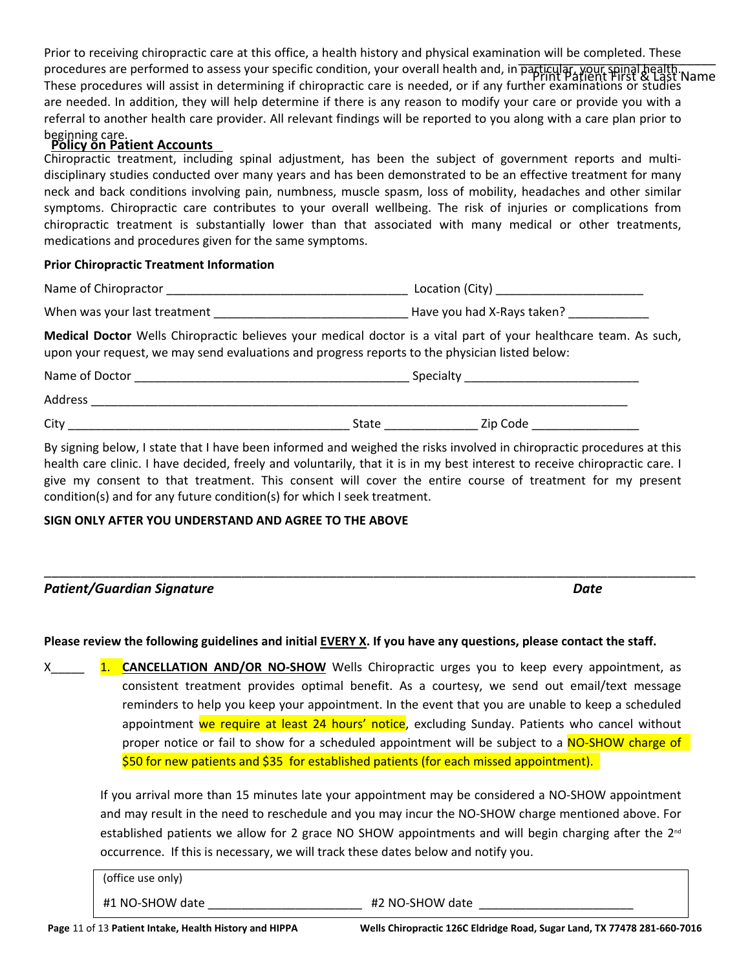Prior to receiving chiropractic care at this office, a health history and physical examination will be completed. These procedures are performed to assess your specific condition, your overall health and, in particular, your spinal health. These procedures will assist in determining if chiropractic care is needed, or if any further examinations or studies are needed. In addition, they will help determine if there is any reason to modify your care or provide you with a referral to another health care provider. All relevant findings will be reported to you along with a care plan prior to beginning care. **Policy on Patient Accounts**   $\frac{1}{2}$ Print Patient First & Last Name

Chiropractic treatment, including spinal adjustment, has been the subject of government reports and multidisciplinary studies conducted over many years and has been demonstrated to be an effective treatment for many neck and back conditions involving pain, numbness, muscle spasm, loss of mobility, headaches and other similar symptoms. Chiropractic care contributes to your overall wellbeing. The risk of injuries or complications from chiropractic treatment is substantially lower than that associated with many medical or other treatments, medications and procedures given for the same symptoms.

### **Prior Chiropractic Treatment Information**

| Name of<br>Chiropractor | .<br>Location<br>√Cit∨ ⊑ |
|-------------------------|--------------------------|
|                         |                          |

When was your last treatment \_\_\_\_\_\_\_\_\_\_\_\_\_\_\_\_\_\_\_\_\_\_\_\_\_\_\_\_\_ Have you had X-Rays taken? \_\_\_\_\_\_\_\_\_\_\_\_

**Medical Doctor** Wells Chiropractic believes your medical doctor is a vital part of your healthcare team. As such, upon your request, we may send evaluations and progress reports to the physician listed below:

| Name of Doctor |              | Specialty |  |  |
|----------------|--------------|-----------|--|--|
| Address        |              |           |  |  |
| City           | <b>State</b> | Zip Code  |  |  |

By signing below, I state that I have been informed and weighed the risks involved in chiropractic procedures at this health care clinic. I have decided, freely and voluntarily, that it is in my best interest to receive chiropractic care. I give my consent to that treatment. This consent will cover the entire course of treatment for my present condition(s) and for any future condition(s) for which I seek treatment.

### **SIGN ONLY AFTER YOU UNDERSTAND AND AGREE TO THE ABOVE**

| <b>Patient/Guardian Signature</b> | Date |
|-----------------------------------|------|

### **Please review the following guidelines and initial EVERY X. If you have any questions, please contact the staff.**

X<sub>1.</sub> CANCELLATION AND/OR NO-SHOW Wells Chiropractic urges you to keep every appointment, as consistent treatment provides optimal benefit. As a courtesy, we send out email/text message reminders to help you keep your appointment. In the event that you are unable to keep a scheduled appointment we require at least 24 hours' notice, excluding Sunday. Patients who cancel without proper notice or fail to show for a scheduled appointment will be subject to a NO-SHOW charge of \$50 for new patients and \$35 for established patients (for each missed appointment).

If you arrival more than 15 minutes late your appointment may be considered a NO-SHOW appointment and may result in the need to reschedule and you may incur the NO-SHOW charge mentioned above. For established patients we allow for 2 grace NO SHOW appointments and will begin charging after the  $2<sup>nd</sup>$ occurrence. If this is necessary, we will track these dates below and notify you.

| (office use only) |                 |
|-------------------|-----------------|
| #1 NO-SHOW date   | #2 NO-SHOW date |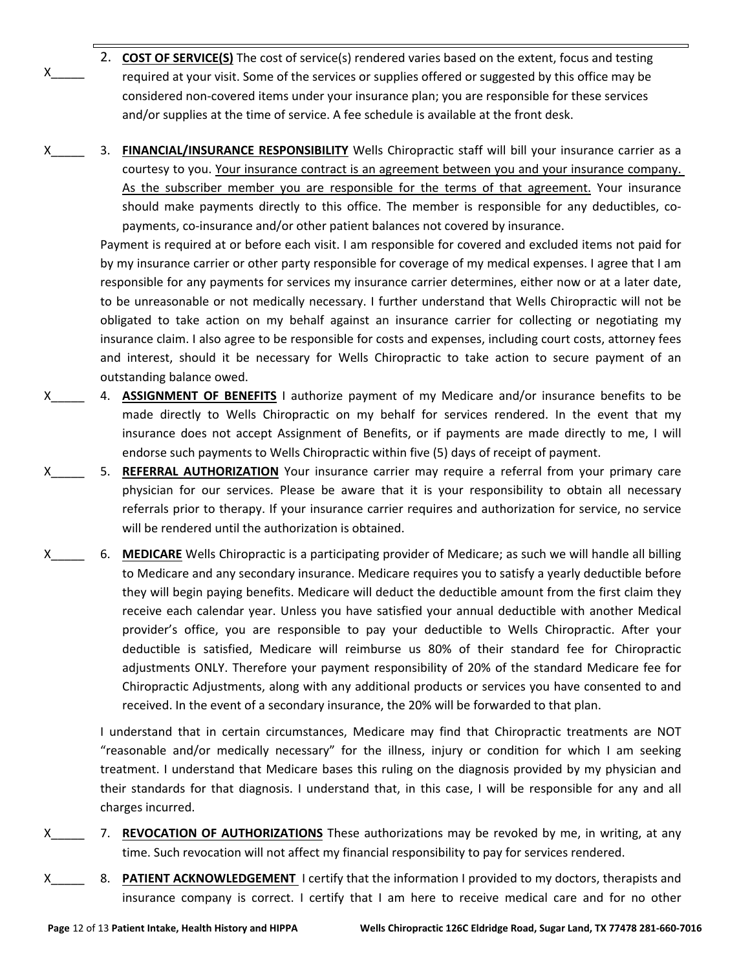- <sup>X</sup>\_\_\_\_\_\_ required at your visit. Some of the services or supplies offered or suggested by this office may be 2. **COST OF SERVICE(S)** The cost of service(s) rendered varies based on the extent, focus and testing considered non-covered items under your insurance plan; you are responsible for these services and/or supplies at the time of service. A fee schedule is available at the front desk.
- X\_\_\_\_\_ 3. **FINANCIAL/INSURANCE RESPONSIBILITY** Wells Chiropractic staff will bill your insurance carrier as a courtesy to you. Your insurance contract is an agreement between you and your insurance company. As the subscriber member you are responsible for the terms of that agreement. Your insurance should make payments directly to this office. The member is responsible for any deductibles, copayments, co-insurance and/or other patient balances not covered by insurance.

Payment is required at or before each visit. I am responsible for covered and excluded items not paid for by my insurance carrier or other party responsible for coverage of my medical expenses. I agree that I am responsible for any payments for services my insurance carrier determines, either now or at a later date, to be unreasonable or not medically necessary. I further understand that Wells Chiropractic will not be obligated to take action on my behalf against an insurance carrier for collecting or negotiating my insurance claim. I also agree to be responsible for costs and expenses, including court costs, attorney fees and interest, should it be necessary for Wells Chiropractic to take action to secure payment of an outstanding balance owed.

- X\_\_\_\_\_ 4. **ASSIGNMENT OF BENEFITS** I authorize payment of my Medicare and/or insurance benefits to be made directly to Wells Chiropractic on my behalf for services rendered. In the event that my insurance does not accept Assignment of Benefits, or if payments are made directly to me, I will endorse such payments to Wells Chiropractic within five (5) days of receipt of payment.
- X<sub>2</sub> 5. REFERRAL AUTHORIZATION Your insurance carrier may require a referral from your primary care physician for our services. Please be aware that it is your responsibility to obtain all necessary referrals prior to therapy. If your insurance carrier requires and authorization for service, no service will be rendered until the authorization is obtained.
- X<sub>3</sub> 6. **MEDICARE** Wells Chiropractic is a participating provider of Medicare; as such we will handle all billing to Medicare and any secondary insurance. Medicare requires you to satisfy a yearly deductible before they will begin paying benefits. Medicare will deduct the deductible amount from the first claim they receive each calendar year. Unless you have satisfied your annual deductible with another Medical provider's office, you are responsible to pay your deductible to Wells Chiropractic. After your deductible is satisfied, Medicare will reimburse us 80% of their standard fee for Chiropractic adjustments ONLY. Therefore your payment responsibility of 20% of the standard Medicare fee for Chiropractic Adjustments, along with any additional products or services you have consented to and received. In the event of a secondary insurance, the 20% will be forwarded to that plan.

I understand that in certain circumstances, Medicare may find that Chiropractic treatments are NOT "reasonable and/or medically necessary" for the illness, injury or condition for which I am seeking treatment. I understand that Medicare bases this ruling on the diagnosis provided by my physician and their standards for that diagnosis. I understand that, in this case, I will be responsible for any and all charges incurred.

- X\_\_\_\_\_ 7. **REVOCATION OF AUTHORIZATIONS** These authorizations may be revoked by me, in writing, at any time. Such revocation will not affect my financial responsibility to pay for services rendered.
- X\_\_\_\_\_ 8. **PATIENT ACKNOWLEDGEMENT** I certify that the information I provided to my doctors, therapists and insurance company is correct. I certify that I am here to receive medical care and for no other